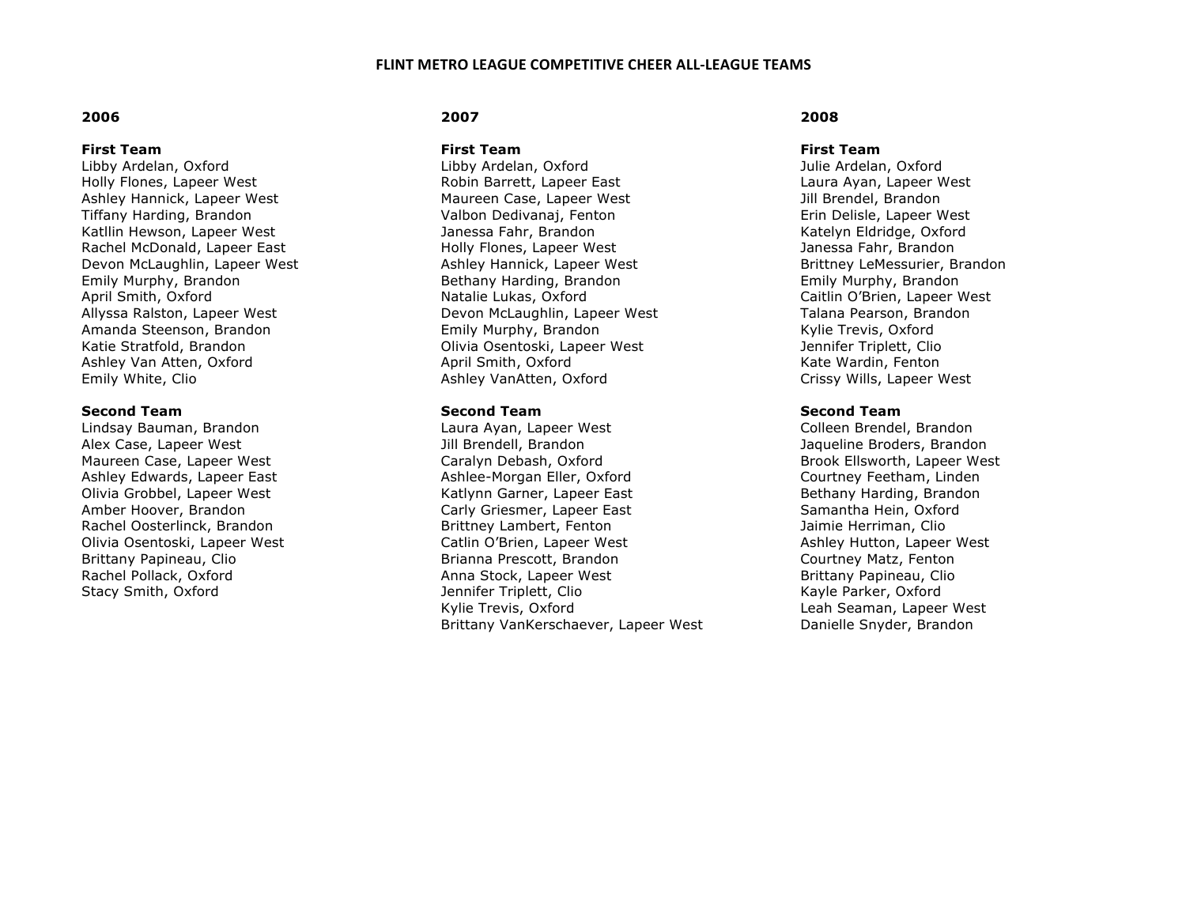## **2006**

### **First Team**

Libby Ardelan, Oxford Holly Flones, Lapeer West Ashley Hannick, Lapeer West Tiffany Harding, Brandon Katllin Hewson, Lapeer West Rachel McDonald, Lapeer East Devon McLaughlin, Lapeer West Emily Murphy, Brandon April Smith, Oxford Allyssa Ralston, Lapeer West Amanda Steenson, Brandon Katie Stratfold, Brandon Ashley Van Atten, Oxford Emily White, Clio

### **Second Team**

Lindsay Bauman, Brandon Alex Case, Lapeer West Maureen Case, Lapeer West Ashley Edwards, Lapeer East Olivia Grobbel, Lapeer West Amber Hoover, Brandon Rachel Oosterlinck, Brandon Olivia Osentoski, Lapeer West Brittany Papineau, Clio Rachel Pollack, Oxford Stacy Smith, Oxford

## **2007**

**First Team**

Libby Ardelan, Oxford Robin Barrett, Lapeer East Maureen Case, Lapeer West Valbon Dedivanaj, Fenton Janessa Fahr, Brandon Holly Flones, Lapeer West Ashley Hannick, Lapeer West Bethany Harding, Brandon Natalie Lukas, Oxford Devon McLaughlin, Lapeer West Emily Murphy, Brandon Olivia Osentoski, Lapeer West April Smith, Oxford Ashley VanAtten, Oxford

### **Second Team**

Laura Ayan, Lapeer West Jill Brendell, Brandon Caralyn Debash, Oxford Ashlee-Morgan Eller, Oxford Katlynn Garner, Lapeer East Carly Griesmer, Lapeer East Brittney Lambert, Fenton Catlin O'Brien, Lapeer West Brianna Prescott, Brandon Anna Stock, Lapeer West Jennifer Triplett, Clio Kylie Trevis, Oxford Brittany VanKerschaever, Lapeer West

## **2008**

#### **First Team**

Julie Ardelan, Oxford Laura Ayan, Lapeer West Jill Brendel, Brandon Erin Delisle, Lapeer West Katelyn Eldridge, Oxford Janessa Fahr, Brandon Brittney LeMessurier, Brandon Emily Murphy, Brandon Caitlin O'Brien, Lapeer West Talana Pearson, Brandon Kylie Trevis, Oxford Jennifer Triplett, Clio Kate Wardin, Fenton Crissy Wills, Lapeer West

## **Second Team**

Colleen Brendel, Brandon Jaqueline Broders, Brandon Brook Ellsworth, Lapeer West Courtney Feetham, Linden Bethany Harding, Brandon Samantha Hein, Oxford Jaimie Herriman, Clio Ashley Hutton, Lapeer West Courtney Matz, Fenton Brittany Papineau, Clio Kayle Parker, Oxford Leah Seaman, Lapeer West Danielle Snyder, Brandon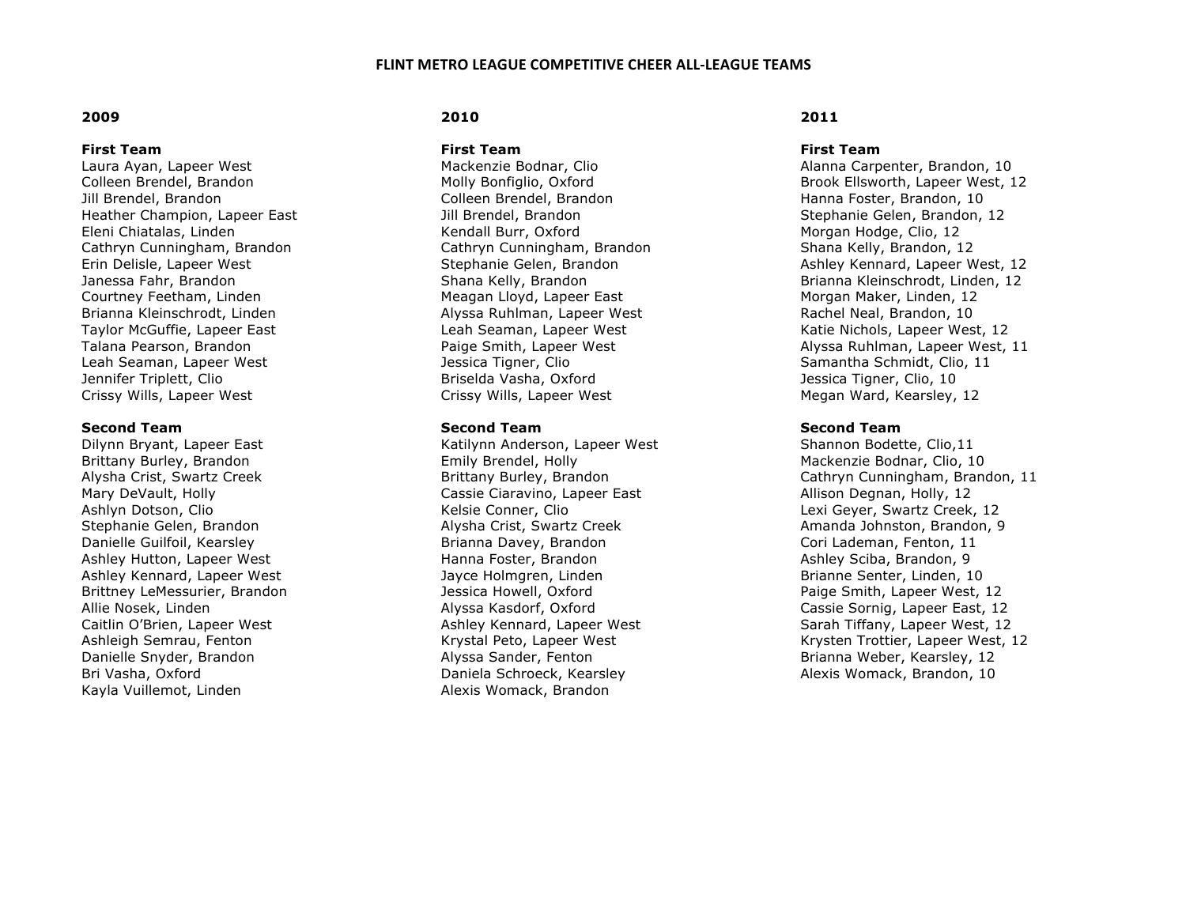## **2009**

## **First Team**

Laura Ayan, Lapeer West Colleen Brendel, Brandon Jill Brendel, Brandon Heather Champion, Lapeer East Eleni Chiatalas, Linden Cathryn Cunningham, Brandon Erin Delisle, Lapeer West Janessa Fahr, Brandon Courtney Feetham, Linden Brianna Kleinschrodt, Linden Taylor McGuffie, Lapeer East Talana Pearson, Brandon Leah Seaman, Lapeer West Jennifer Triplett, Clio Crissy Wills, Lapeer West

### **Second Team**

Dilynn Bryant, Lapeer East Brittany Burley, Brandon Alysha Crist, Swartz Creek Mary DeVault, Holly Ashlyn Dotson, Clio Stephanie Gelen, Brandon Danielle Guilfoil, Kearsley Ashley Hutton, Lapeer West Ashley Kennard, Lapeer West Brittney LeMessurier, Brandon Allie Nosek, Linden Caitlin O'Brien, Lapeer West Ashleigh Semrau, Fenton Danielle Snyder, Brandon Bri Vasha, Oxford Kayla Vuillemot, Linden

## **2010**

**First Team**

Mackenzie Bodnar, Clio Molly Bonfiglio, Oxford Colleen Brendel, Brandon Jill Brendel, Brandon Kendall Burr, Oxford Cathryn Cunningham, Brandon Stephanie Gelen, Brandon Shana Kelly, Brandon Meagan Lloyd, Lapeer East Alyssa Ruhlman, Lapeer West Leah Seaman, Lapeer West Paige Smith, Lapeer West Jessica Tigner, Clio Briselda Vasha, Oxford Crissy Wills, Lapeer West

### **Second Team**

Katilynn Anderson, Lapeer West Emily Brendel, Holly Brittany Burley, Brandon Cassie Ciaravino, Lapeer East Kelsie Conner, Clio Alysha Crist, Swartz Creek Brianna Davey, Brandon Hanna Foster, Brandon Jayce Holmgren, Linden Jessica Howell, Oxford Alyssa Kasdorf, Oxford Ashley Kennard, Lapeer West Krystal Peto, Lapeer West Alyssa Sander, Fenton Daniela Schroeck, Kearsley Alexis Womack, Brandon

# **2011**

#### **First Team**

Alanna Carpenter, Brandon, 10 Brook Ellsworth, Lapeer West, 12 Hanna Foster, Brandon, 10 Stephanie Gelen, Brandon, 12 Morgan Hodge, Clio, 12 Shana Kelly, Brandon, 12 Ashley Kennard, Lapeer West, 12 Brianna Kleinschrodt, Linden, 12 Morgan Maker, Linden, 12 Rachel Neal, Brandon, 10 Katie Nichols, Lapeer West, 12 Alyssa Ruhlman, Lapeer West, 11 Samantha Schmidt, Clio, 11 Jessica Tigner, Clio, 10 Megan Ward, Kearsley, 12

## **Second Team**

Shannon Bodette, Clio,11 Mackenzie Bodnar, Clio, 10 Cathryn Cunningham, Brandon, 11 Allison Degnan, Holly, 12 Lexi Geyer, Swartz Creek, 12 Amanda Johnston, Brandon, 9 Cori Lademan, Fenton, 11 Ashley Sciba, Brandon, 9 Brianne Senter, Linden, 10 Paige Smith, Lapeer West, 12 Cassie Sornig, Lapeer East, 12 Sarah Tiffany, Lapeer West, 12 Krysten Trottier, Lapeer West, 12 Brianna Weber, Kearsley, 12 Alexis Womack, Brandon, 10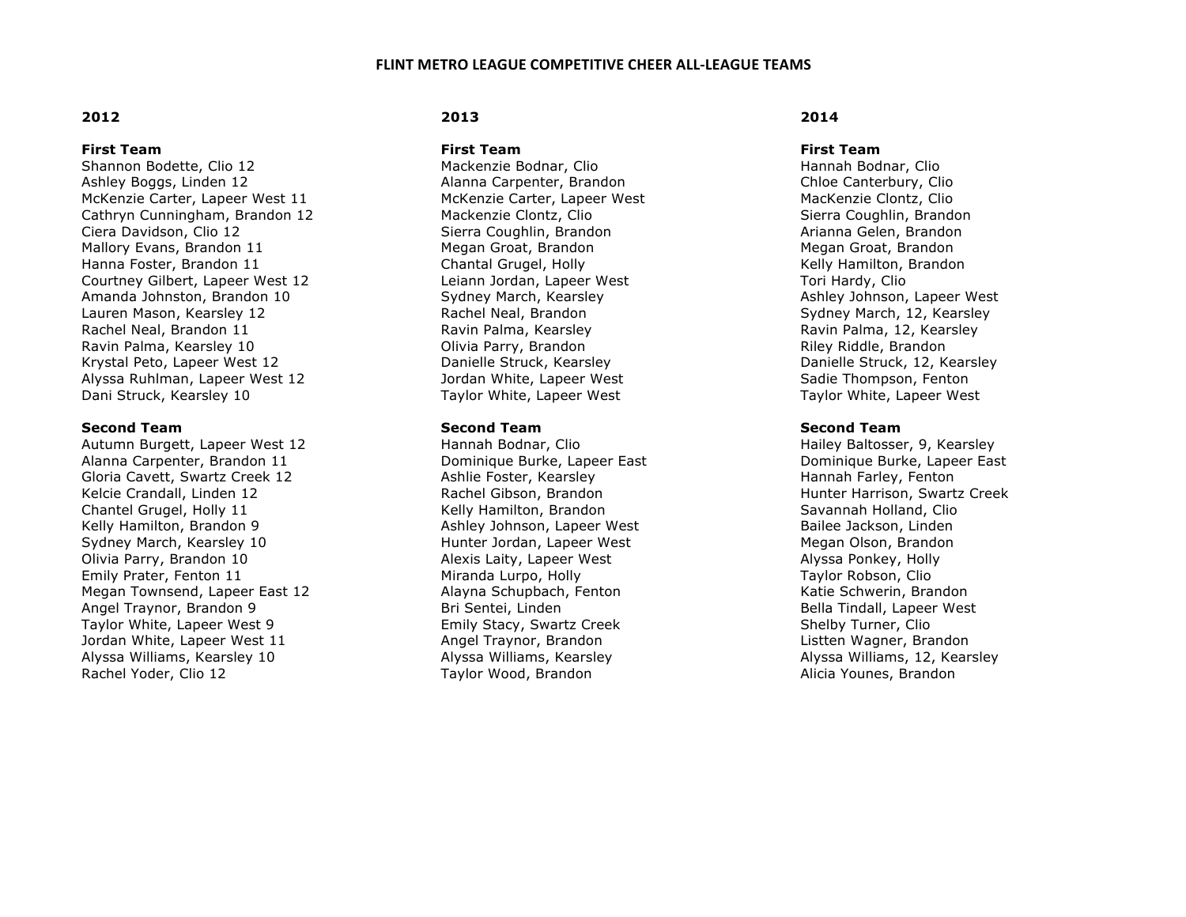## **2012**

### **First Team**

Shannon Bodette, Clio 12 Ashley Boggs, Linden 12 McKenzie Carter, Lapeer West 11 Cathryn Cunningham, Brandon 12 Ciera Davidson, Clio 12 Mallory Evans, Brandon 11 Hanna Foster, Brandon 11 Courtney Gilbert, Lapeer West 12 Amanda Johnston, Brandon 10 Lauren Mason, Kearsley 12 Rachel Neal, Brandon 11 Ravin Palma, Kearsley 10 Krystal Peto, Lapeer West 12 Alyssa Ruhlman, Lapeer West 12 Dani Struck, Kearsley 10

### **Second Team**

Autumn Burgett, Lapeer West 12 Alanna Carpenter, Brandon 11 Gloria Cavett, Swartz Creek 12 Kelcie Crandall, Linden 12 Chantel Grugel, Holly 11 Kelly Hamilton, Brandon 9 Sydney March, Kearsley 10 Olivia Parry, Brandon 10 Emily Prater, Fenton 11 Megan Townsend, Lapeer East 12 Angel Traynor, Brandon 9 Taylor White, Lapeer West 9 Jordan White, Lapeer West 11 Alyssa Williams, Kearsley 10 Rachel Yoder, Clio 12

# **2013**

**First Team** 

Mackenzie Bodnar, Clio Alanna Carpenter, Brandon McKenzie Carter, Lapeer West Mackenzie Clontz, Clio Sierra Coughlin, Brandon Megan Groat, Brandon Chantal Grugel, Holly Leiann Jordan, Lapeer West Sydney March, Kearsley Rachel Neal, Brandon Ravin Palma, Kearsley Olivia Parry, Brandon Danielle Struck, Kearsley Jordan White, Lapeer West Taylor White, Lapeer West

### **Second Team**

Hannah Bodnar, Clio Dominique Burke, Lapeer East Ashlie Foster, Kearsley Rachel Gibson, Brandon Kelly Hamilton, Brandon Ashley Johnson, Lapeer West Hunter Jordan, Lapeer West Alexis Laity, Lapeer West Miranda Lurpo, Holly Alayna Schupbach, Fenton Bri Sentei, Linden Emily Stacy, Swartz Creek Angel Traynor, Brandon Alyssa Williams, Kearsley Taylor Wood, Brandon

## **2014**

#### **First Team**

Hannah Bodnar, Clio Chloe Canterbury, Clio MacKenzie Clontz, Clio Sierra Coughlin, Brandon Arianna Gelen, Brandon Megan Groat, Brandon Kelly Hamilton, Brandon Tori Hardy, Clio Ashley Johnson, Lapeer West Sydney March, 12, Kearsley Ravin Palma, 12, Kearsley Riley Riddle, Brandon Danielle Struck, 12, Kearsley Sadie Thompson, Fenton Taylor White, Lapeer West

## **Second Team**

Hailey Baltosser, 9, Kearsley Dominique Burke, Lapeer East Hannah Farley, Fenton Hunter Harrison, Swartz Creek Savannah Holland, Clio Bailee Jackson, Linden Megan Olson, Brandon Alyssa Ponkey, Holly Taylor Robson, Clio Katie Schwerin, Brandon Bella Tindall, Lapeer West Shelby Turner, Clio Listten Wagner, Brandon Alyssa Williams, 12, Kearsley Alicia Younes, Brandon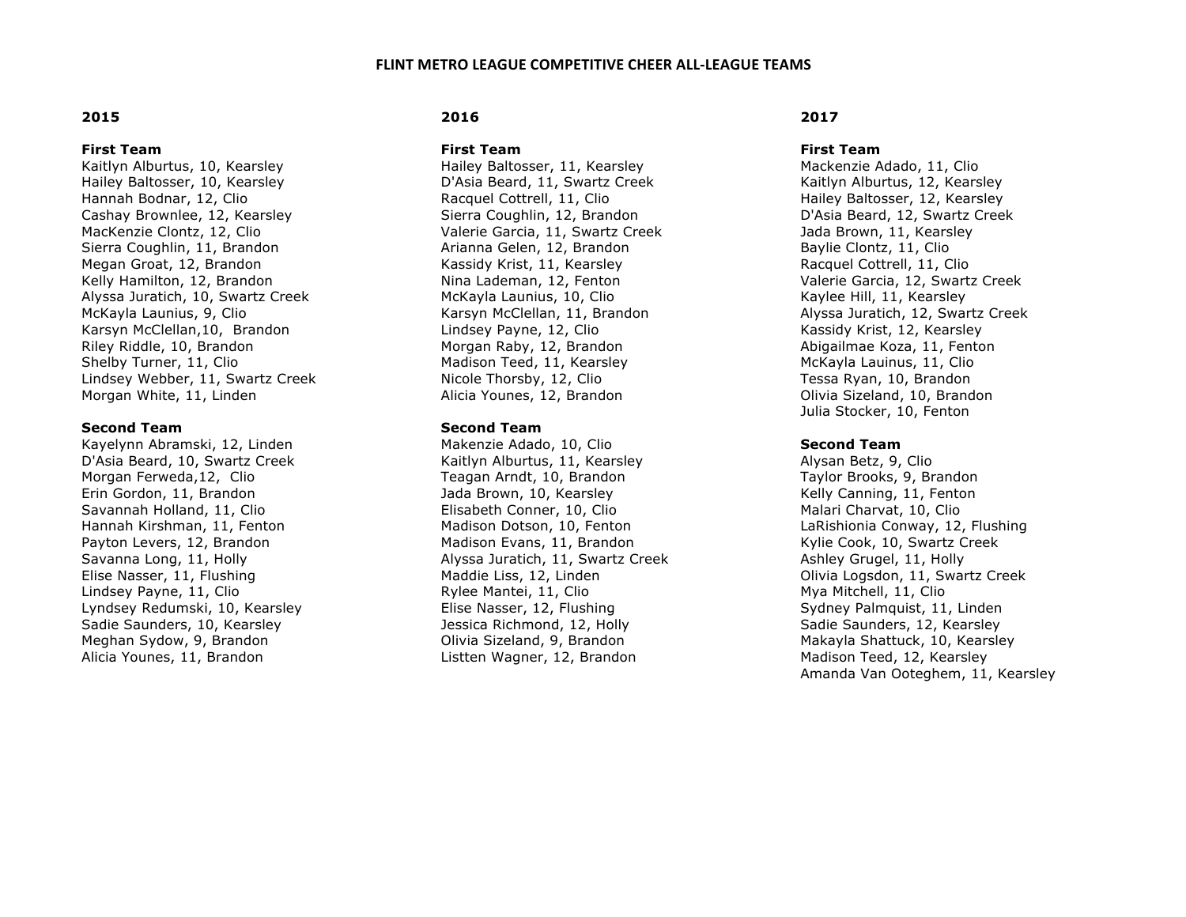## **2015**

#### **First Team**

Kaitlyn Alburtus, 10, Kearsley Hailey Baltosser, 10, Kearsley Hannah Bodnar, 12, Clio Cashay Brownlee, 12, Kearsley MacKenzie Clontz, 12, Clio Sierra Coughlin, 11, Brandon Megan Groat, 12, Brandon Kelly Hamilton, 12, Brandon Alyssa Juratich, 10, Swartz Creek McKayla Launius, 9, Clio Karsyn McClellan,10, Brandon Riley Riddle, 10, Brandon Shelby Turner, 11, Clio Lindsey Webber, 11, Swartz Creek Morgan White, 11, Linden

### **Second Team**

Kayelynn Abramski, 12, Linden D'Asia Beard, 10, Swartz Creek Morgan Ferweda,12, Clio Erin Gordon, 11, Brandon Savannah Holland, 11, Clio Hannah Kirshman, 11, Fenton Payton Levers, 12, Brandon Savanna Long, 11, Holly Elise Nasser, 11, Flushing Lindsey Payne, 11, Clio Lyndsey Redumski, 10, Kearsley Sadie Saunders, 10, Kearsley Meghan Sydow, 9, Brandon Alicia Younes, 11, Brandon

# **2016**

**First Team** 

Hailey Baltosser, 11, Kearsley D'Asia Beard, 11, Swartz Creek Racquel Cottrell, 11, Clio Sierra Coughlin, 12, Brandon Valerie Garcia, 11, Swartz Creek Arianna Gelen, 12, Brandon Kassidy Krist, 11, Kearsley Nina Lademan, 12, Fenton McKayla Launius, 10, Clio Karsyn McClellan, 11, Brandon Lindsey Payne, 12, Clio Morgan Raby, 12, Brandon Madison Teed, 11, Kearsley Nicole Thorsby, 12, Clio Alicia Younes, 12, Brandon

## **Second Team**

Makenzie Adado, 10, Clio Kaitlyn Alburtus, 11, Kearsley Teagan Arndt, 10, Brandon Jada Brown, 10, Kearsley Elisabeth Conner, 10, Clio Madison Dotson, 10, Fenton Madison Evans, 11, Brandon Alyssa Juratich, 11, Swartz Creek Maddie Liss, 12, Linden Rylee Mantei, 11, Clio Elise Nasser, 12, Flushing Jessica Richmond, 12, Holly Olivia Sizeland, 9, Brandon Listten Wagner, 12, Brandon

## **2017**

### **First Team**

Mackenzie Adado, 11, Clio Kaitlyn Alburtus, 12, Kearsley Hailey Baltosser, 12, Kearsley D'Asia Beard, 12, Swartz Creek Jada Brown, 11, Kearsley Baylie Clontz, 11, Clio Racquel Cottrell, 11, Clio Valerie Garcia, 12, Swartz Creek Kaylee Hill, 11, Kearsley Alyssa Juratich, 12, Swartz Creek Kassidy Krist, 12, Kearsley Abigailmae Koza, 11, Fenton McKayla Lauinus, 11, Clio Tessa Ryan, 10, Brandon Olivia Sizeland, 10, Brandon Julia Stocker, 10, Fenton

## **Second Team**

Alysan Betz, 9, Clio Taylor Brooks, 9, Brandon Kelly Canning, 11, Fenton Malari Charvat, 10, Clio LaRishionia Conway, 12, Flushing Kylie Cook, 10, Swartz Creek Ashley Grugel, 11, Holly Olivia Logsdon, 11, Swartz Creek Mya Mitchell, 11, Clio Sydney Palmquist, 11, Linden Sadie Saunders, 12, Kearsley Makayla Shattuck, 10, Kearsley Madison Teed, 12, Kearsley Amanda Van Ooteghem, 11, Kearsley